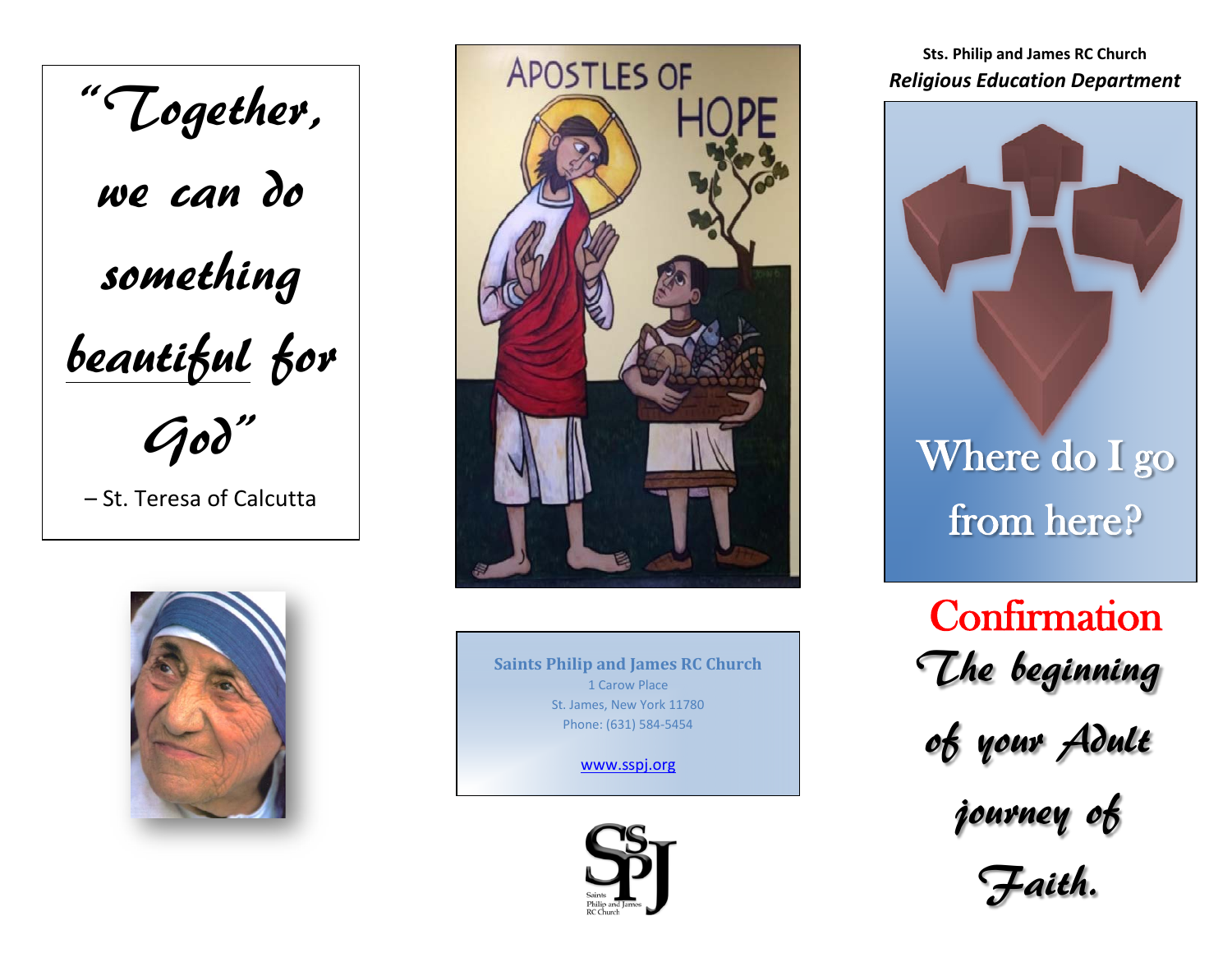"Together, we can do something beautiful for God" – St. Teresa of Calcutta





**Saints Philip and James RC Church** 1 Carow Place St. James, New York 11780 Phone: (631) 584-5454

[www.sspj.org](http://www.sspj.org/)



**Sts. Philip and James RC Church** *Religious Education Department*



from here?

The beginning **Confirmation** 

of your Adult

journey of